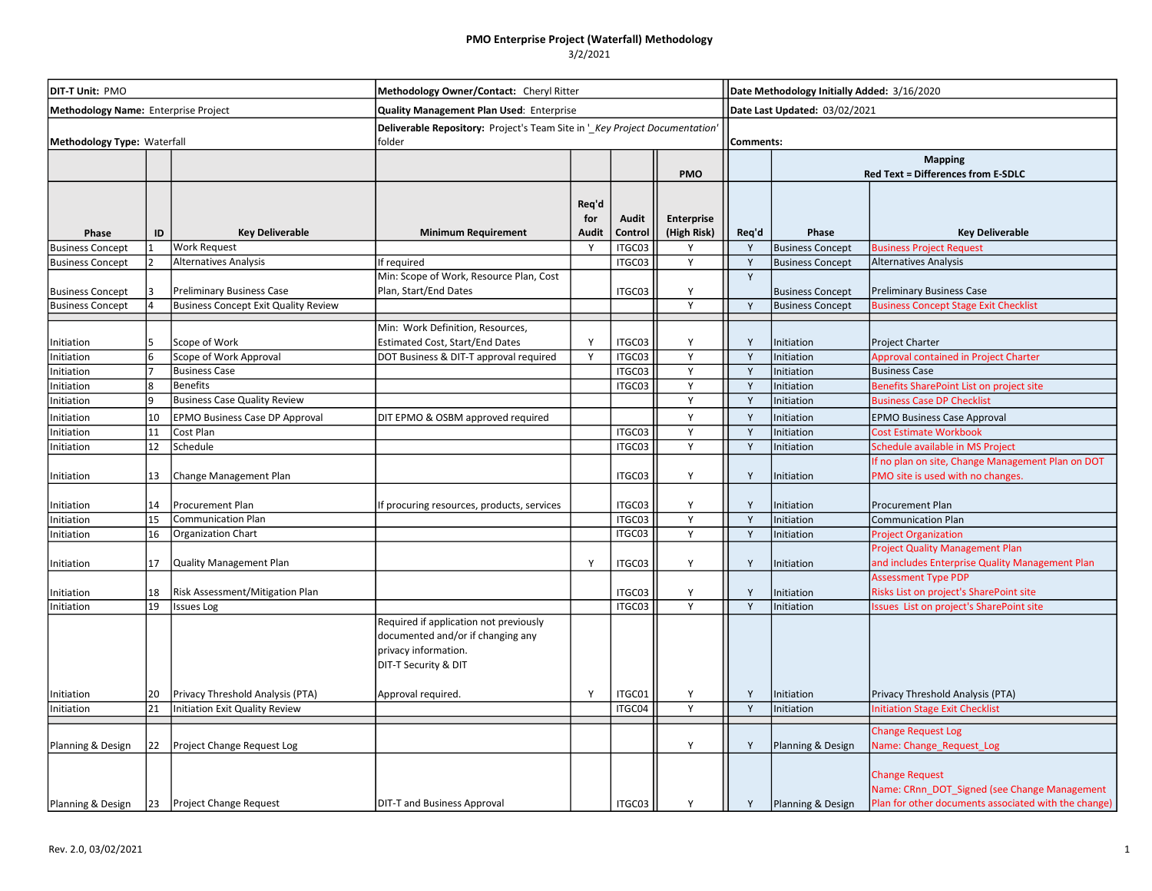## PMO Enterprise Project (Waterfall) Methodology

 $3/2/2021$ 

| <b>DIT-T Unit: PMO</b><br>Methodology Name: Enterprise Project |    |                                             | Methodology Owner/Contact: Cheryl Ritter<br>Quality Management Plan Used: Enterprise                                        |                       |                         |                           |       | Date Methodology Initially Added: 3/16/2020                 |                                                                                                                               |  |  |  |
|----------------------------------------------------------------|----|---------------------------------------------|-----------------------------------------------------------------------------------------------------------------------------|-----------------------|-------------------------|---------------------------|-------|-------------------------------------------------------------|-------------------------------------------------------------------------------------------------------------------------------|--|--|--|
|                                                                |    |                                             |                                                                                                                             |                       |                         |                           |       | Date Last Updated: 03/02/2021                               |                                                                                                                               |  |  |  |
| Methodology Type: Waterfall                                    |    |                                             | Deliverable Repository: Project's Team Site in '_Key Project Documentation'<br>folder                                       |                       |                         |                           |       | Comments:                                                   |                                                                                                                               |  |  |  |
|                                                                |    |                                             |                                                                                                                             |                       |                         | <b>PMO</b>                |       | <b>Mapping</b><br><b>Red Text = Differences from E-SDLC</b> |                                                                                                                               |  |  |  |
| Phase                                                          | ID | <b>Key Deliverable</b>                      | <b>Minimum Requirement</b>                                                                                                  | Req'd<br>for<br>Audit | <b>Audit</b><br>Control | Enterprise<br>(High Risk) | Req'd | Phase                                                       | <b>Key Deliverable</b>                                                                                                        |  |  |  |
| <b>Business Concept</b>                                        |    | <b>Work Request</b>                         |                                                                                                                             |                       | ITGC03                  | Y                         | Y     | <b>Business Concept</b>                                     | <b>Business Project Request</b>                                                                                               |  |  |  |
| <b>Business Concept</b>                                        |    | Alternatives Analysis                       | If required                                                                                                                 |                       | ITGC03                  | Y                         | Y     | <b>Business Concept</b>                                     | <b>Alternatives Analysis</b>                                                                                                  |  |  |  |
| <b>Business Concept</b>                                        |    | <b>Preliminary Business Case</b>            | Min: Scope of Work, Resource Plan, Cost<br>Plan, Start/End Dates                                                            |                       | ITGC03                  | Υ                         | Y     | <b>Business Concept</b>                                     | <b>Preliminary Business Case</b>                                                                                              |  |  |  |
| <b>Business Concept</b>                                        |    | <b>Business Concept Exit Quality Review</b> |                                                                                                                             |                       |                         | Y                         | Y     | <b>Business Concept</b>                                     | <b>Business Concept Stage Exit Checklist</b>                                                                                  |  |  |  |
| Initiation                                                     |    | Scope of Work                               | Min: Work Definition, Resources,<br>Estimated Cost, Start/End Dates                                                         | Y                     | ITGC03                  | Y                         | Y     | Initiation                                                  | <b>Project Charter</b>                                                                                                        |  |  |  |
| Initiation                                                     | 6  | Scope of Work Approval                      | DOT Business & DIT-T approval required                                                                                      | Y                     | ITGC03                  | Y                         | Y     | Initiation                                                  | Approval contained in Project Charter                                                                                         |  |  |  |
| Initiation                                                     |    | <b>Business Case</b>                        |                                                                                                                             |                       | ITGC03                  | Y                         | Y     | Initiation                                                  | <b>Business Case</b>                                                                                                          |  |  |  |
| Initiation                                                     | 8  | <b>Benefits</b>                             |                                                                                                                             |                       | ITGC03                  | Y                         | Y     | Initiation                                                  | Benefits SharePoint List on project site                                                                                      |  |  |  |
| Initiation                                                     | q  | <b>Business Case Quality Review</b>         |                                                                                                                             |                       |                         | Y                         | Y     | Initiation                                                  | <b>Business Case DP Checklist</b>                                                                                             |  |  |  |
| Initiation                                                     | 10 | EPMO Business Case DP Approval              | DIT EPMO & OSBM approved required                                                                                           |                       |                         | Υ                         | Y     | Initiation                                                  | <b>EPMO Business Case Approval</b>                                                                                            |  |  |  |
| Initiation                                                     | 11 | Cost Plan                                   |                                                                                                                             |                       | ITGC03                  | Y                         | Y     | Initiation                                                  | <b>Cost Estimate Workbook</b>                                                                                                 |  |  |  |
| Initiation                                                     | 12 | Schedule                                    |                                                                                                                             |                       | ITGC03                  | Y                         | Y     | Initiation                                                  | Schedule available in MS Project                                                                                              |  |  |  |
| Initiation                                                     | 13 | Change Management Plan                      |                                                                                                                             |                       | ITGC03                  | Y                         | Y     | Initiation                                                  | If no plan on site, Change Management Plan on DOT<br>PMO site is used with no changes.                                        |  |  |  |
| Initiation                                                     | 14 | Procurement Plan                            | If procuring resources, products, services                                                                                  |                       | ITGC03                  | Y                         | Y     | Initiation                                                  | Procurement Plan                                                                                                              |  |  |  |
| Initiation                                                     | 15 | <b>Communication Plan</b>                   |                                                                                                                             |                       | ITGC03                  | Y                         | Y     | Initiation                                                  | <b>Communication Plan</b>                                                                                                     |  |  |  |
| Initiation                                                     | 16 | Organization Chart                          |                                                                                                                             |                       | ITGC03                  | Y                         | Y     | Initiation                                                  | <b>Project Organization</b>                                                                                                   |  |  |  |
| Initiation                                                     | 17 | Quality Management Plan                     |                                                                                                                             | Y                     | ITGC03                  | Υ                         | Y     | Initiation                                                  | <b>Project Quality Management Plan</b><br>and includes Enterprise Quality Management Plan                                     |  |  |  |
| Initiation                                                     | 18 | Risk Assessment/Mitigation Plan             |                                                                                                                             |                       | ITGC03                  | Υ                         | Y     | Initiation                                                  | <b>Assessment Type PDP</b><br>Risks List on project's SharePoint site                                                         |  |  |  |
| Initiation                                                     | 19 | <b>Issues Log</b>                           |                                                                                                                             |                       | ITGC03                  | Y                         | Y     | Initiation                                                  | ssues List on project's SharePoint site                                                                                       |  |  |  |
|                                                                |    |                                             | Required if application not previously<br>documented and/or if changing any<br>privacy information.<br>DIT-T Security & DIT |                       |                         |                           |       |                                                             |                                                                                                                               |  |  |  |
| Initiation                                                     | 20 | Privacy Threshold Analysis (PTA)            | Approval required                                                                                                           | Y                     | ITGC01                  | Y                         | Y     | Initiation                                                  | Privacy Threshold Analysis (PTA)                                                                                              |  |  |  |
| Initiation                                                     | 21 | Initiation Exit Quality Review              |                                                                                                                             |                       | ITGC04                  | Y                         | Y     | Initiation                                                  | nitiation Stage Exit Checklist                                                                                                |  |  |  |
| Planning & Design                                              | 22 | Project Change Request Log                  |                                                                                                                             |                       |                         | Y                         | Y     | Planning & Design                                           | <b>Change Request Log</b><br>Name: Change Request Log                                                                         |  |  |  |
| Planning & Design                                              | 23 | <b>Project Change Request</b>               | DIT-T and Business Approval                                                                                                 |                       | ITGC03                  | Y                         | Y     | Planning & Design                                           | <b>Change Request</b><br>Name: CRnn DOT Signed (see Change Management<br>Plan for other documents associated with the change) |  |  |  |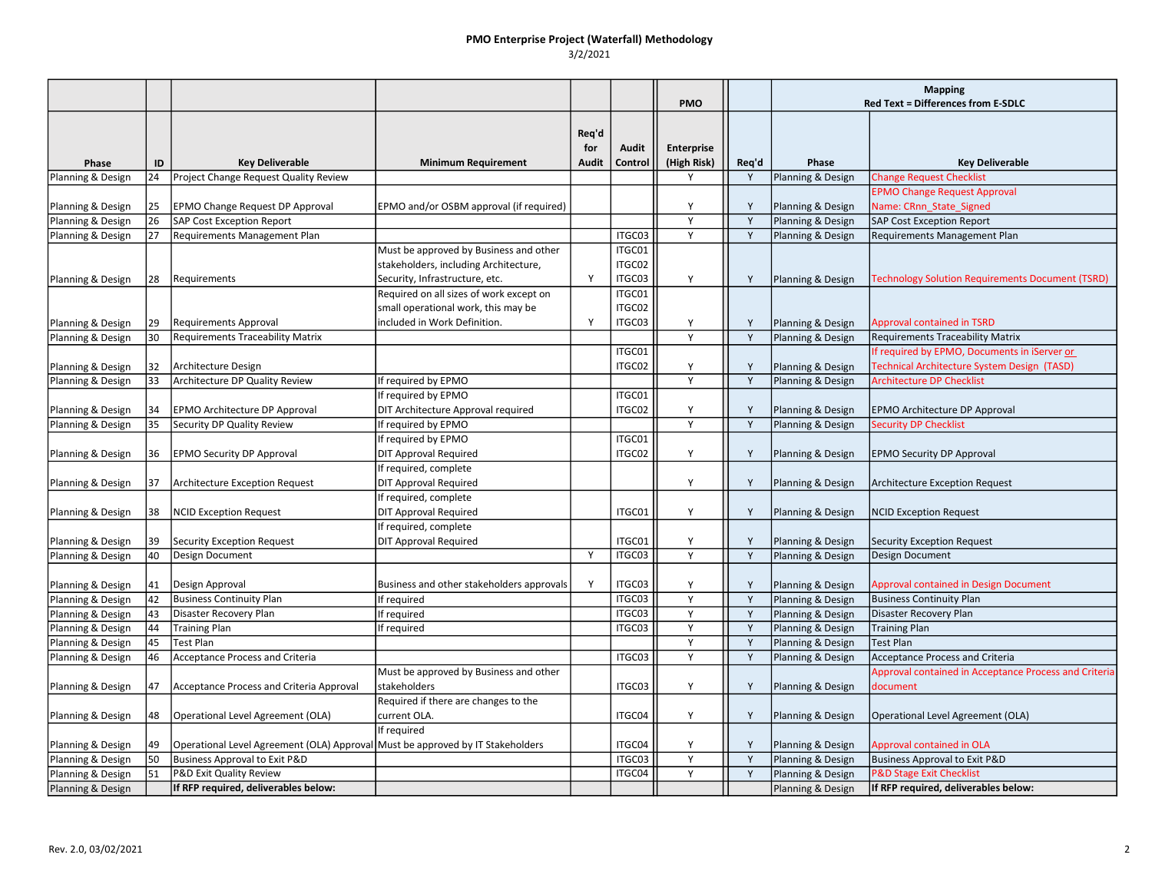# PMO Enterprise Project (Waterfall) Methodology

3/2/2021

|                   |          |                                                                                |                                           |       |                  |                   |        | <b>Mapping</b>    |                                                       |
|-------------------|----------|--------------------------------------------------------------------------------|-------------------------------------------|-------|------------------|-------------------|--------|-------------------|-------------------------------------------------------|
|                   |          |                                                                                |                                           |       |                  | <b>PMO</b>        |        |                   | <b>Red Text = Differences from E-SDLC</b>             |
|                   |          |                                                                                |                                           |       |                  |                   |        |                   |                                                       |
|                   |          |                                                                                |                                           | Req'd |                  |                   |        |                   |                                                       |
|                   |          |                                                                                |                                           | for   | Audit            | <b>Enterprise</b> |        |                   |                                                       |
| Phase             | ID       | <b>Key Deliverable</b>                                                         | <b>Minimum Requirement</b>                | Audit | Control          | (High Risk)       | Req'd  | Phase             | <b>Key Deliverable</b>                                |
| Planning & Design | 24       | Project Change Request Quality Review                                          |                                           |       |                  | Υ                 | Y      | Planning & Design | <b>Change Request Checklist</b>                       |
|                   |          |                                                                                |                                           |       |                  | Y                 |        |                   | <b>EPMO Change Request Approval</b>                   |
| Planning & Design | 25<br>26 | <b>EPMO Change Request DP Approval</b>                                         | EPMO and/or OSBM approval (if required)   |       |                  | Y                 | Y<br>Y | Planning & Design | Name: CRnn_State_Signed                               |
| Planning & Design |          | <b>SAP Cost Exception Report</b>                                               |                                           |       |                  | Y                 | Y      | Planning & Design | <b>SAP Cost Exception Report</b>                      |
| Planning & Design | 27       | Requirements Management Plan                                                   |                                           |       | ITGC03<br>ITGC01 |                   |        | Planning & Design | Requirements Management Plan                          |
|                   |          |                                                                                | Must be approved by Business and other    |       |                  |                   |        |                   |                                                       |
|                   |          |                                                                                | stakeholders, including Architecture,     | Y     | ITGC02<br>ITGC03 | Y                 | Y      |                   |                                                       |
| Planning & Design | 28       | Requirements                                                                   | Security, Infrastructure, etc.            |       |                  |                   |        | Planning & Design | Technology Solution Requirements Document (TSRD)      |
|                   |          |                                                                                | Required on all sizes of work except on   |       | ITGC01           |                   |        |                   |                                                       |
|                   |          |                                                                                | small operational work, this may be       |       | ITGC02           |                   |        |                   |                                                       |
| Planning & Design | 29       | <b>Requirements Approval</b>                                                   | included in Work Definition.              | Y     | ITGC03           | Y<br>Y            | Υ<br>Y | Planning & Design | <b>Approval contained in TSRD</b>                     |
| Planning & Design | 30       | <b>Requirements Traceability Matrix</b>                                        |                                           |       |                  |                   |        | Planning & Design | <b>Requirements Traceability Matrix</b>               |
|                   |          |                                                                                |                                           |       | ITGC01           |                   |        |                   | If required by EPMO, Documents in iServer or          |
| Planning & Design | 132      | Architecture Design                                                            |                                           |       | ITGC02           | Y                 | Υ      | Planning & Design | Technical Architecture System Design (TASD)           |
| Planning & Design | 33       | Architecture DP Quality Review                                                 | If required by EPMO                       |       |                  | Y                 | Y      | Planning & Design | <b>Architecture DP Checklist</b>                      |
|                   |          |                                                                                | If required by EPMO                       |       | ITGC01           |                   |        |                   |                                                       |
| Planning & Design | 34       | <b>EPMO Architecture DP Approval</b>                                           | DIT Architecture Approval required        |       | ITGC02           | Y                 | Y      | Planning & Design | EPMO Architecture DP Approval                         |
| Planning & Design | 35       | Security DP Quality Review                                                     | If required by EPMO                       |       |                  | Y                 | Y      | Planning & Design | <b>Security DP Checklist</b>                          |
|                   |          |                                                                                | If required by EPMO                       |       | ITGC01           |                   |        |                   |                                                       |
| Planning & Design | 36       | <b>EPMO Security DP Approval</b>                                               | <b>DIT Approval Required</b>              |       | ITGC02           | Y                 | Y      | Planning & Design | <b>EPMO Security DP Approval</b>                      |
|                   |          |                                                                                | If required, complete                     |       |                  |                   |        |                   |                                                       |
| Planning & Design | 37       | <b>Architecture Exception Request</b>                                          | <b>DIT Approval Required</b>              |       |                  | Y                 | Υ      | Planning & Design | Architecture Exception Request                        |
|                   |          |                                                                                | If required, complete                     |       |                  |                   |        |                   |                                                       |
| Planning & Design | 38       | <b>NCID Exception Request</b>                                                  | <b>DIT Approval Required</b>              |       | ITGC01           | Y                 | Y      | Planning & Design | <b>NCID Exception Request</b>                         |
|                   |          |                                                                                | If required, complete                     |       |                  |                   |        |                   |                                                       |
| Planning & Design | 39       | Security Exception Request                                                     | <b>DIT Approval Required</b>              |       | ITGC01           | Y                 | Y      | Planning & Design | Security Exception Request                            |
| Planning & Design | 40       | Design Document                                                                |                                           | Y     | ITGC03           | Y                 | Y      | Planning & Design | Design Document                                       |
|                   |          |                                                                                |                                           |       |                  |                   |        |                   |                                                       |
| Planning & Design | 41       | Design Approval                                                                | Business and other stakeholders approvals | Y     | ITGC03           | Y                 | Y      | Planning & Design | <b>Approval contained in Design Document</b>          |
| Planning & Design | 42       | <b>Business Continuity Plan</b>                                                | If required                               |       | ITGC03           | Y                 | Y      | Planning & Design | <b>Business Continuity Plan</b>                       |
| Planning & Design | 43       | Disaster Recovery Plan                                                         | If required                               |       | ITGC03           | Y                 | Y      | Planning & Design | Disaster Recovery Plan                                |
| Planning & Design | 44       | <b>Training Plan</b>                                                           | If required                               |       | ITGC03           | Y<br>Y            | Y<br>Y | Planning & Design | <b>Training Plan</b>                                  |
| Planning & Design | 45       | <b>Test Plan</b>                                                               |                                           |       |                  | Y                 | Y      | Planning & Design | <b>Test Plan</b>                                      |
| Planning & Design | 46       | Acceptance Process and Criteria                                                |                                           |       | ITGC03           |                   |        | Planning & Design | <b>Acceptance Process and Criteria</b>                |
|                   |          |                                                                                | Must be approved by Business and other    |       |                  |                   |        |                   | Approval contained in Acceptance Process and Criteria |
| Planning & Design | 47       | Acceptance Process and Criteria Approval                                       | stakeholders                              |       | ITGC03           | Y                 | Υ      | Planning & Design | document                                              |
|                   |          |                                                                                | Required if there are changes to the      |       |                  |                   |        |                   |                                                       |
| Planning & Design | 48       | Operational Level Agreement (OLA)                                              | current OLA.                              |       | ITGC04           | Y                 | Υ      | Planning & Design | Operational Level Agreement (OLA)                     |
|                   |          |                                                                                | If required                               |       |                  |                   |        |                   |                                                       |
| Planning & Design | 49       | Operational Level Agreement (OLA) Approval Must be approved by IT Stakeholders |                                           |       | ITGC04           | Υ                 | Y      | Planning & Design | <b>Approval contained in OLA</b>                      |
| Planning & Design | 50       | Business Approval to Exit P&D                                                  |                                           |       | ITGC03           | Υ                 | Y      | Planning & Design | <b>Business Approval to Exit P&amp;D</b>              |
| Planning & Design | 51       | P&D Exit Quality Review                                                        |                                           |       | ITGC04           | Y                 | Y      | Planning & Design | <b>P&amp;D Stage Exit Checklist</b>                   |
| Planning & Design |          | If RFP required, deliverables below:                                           |                                           |       |                  |                   |        | Planning & Design | If RFP required, deliverables below:                  |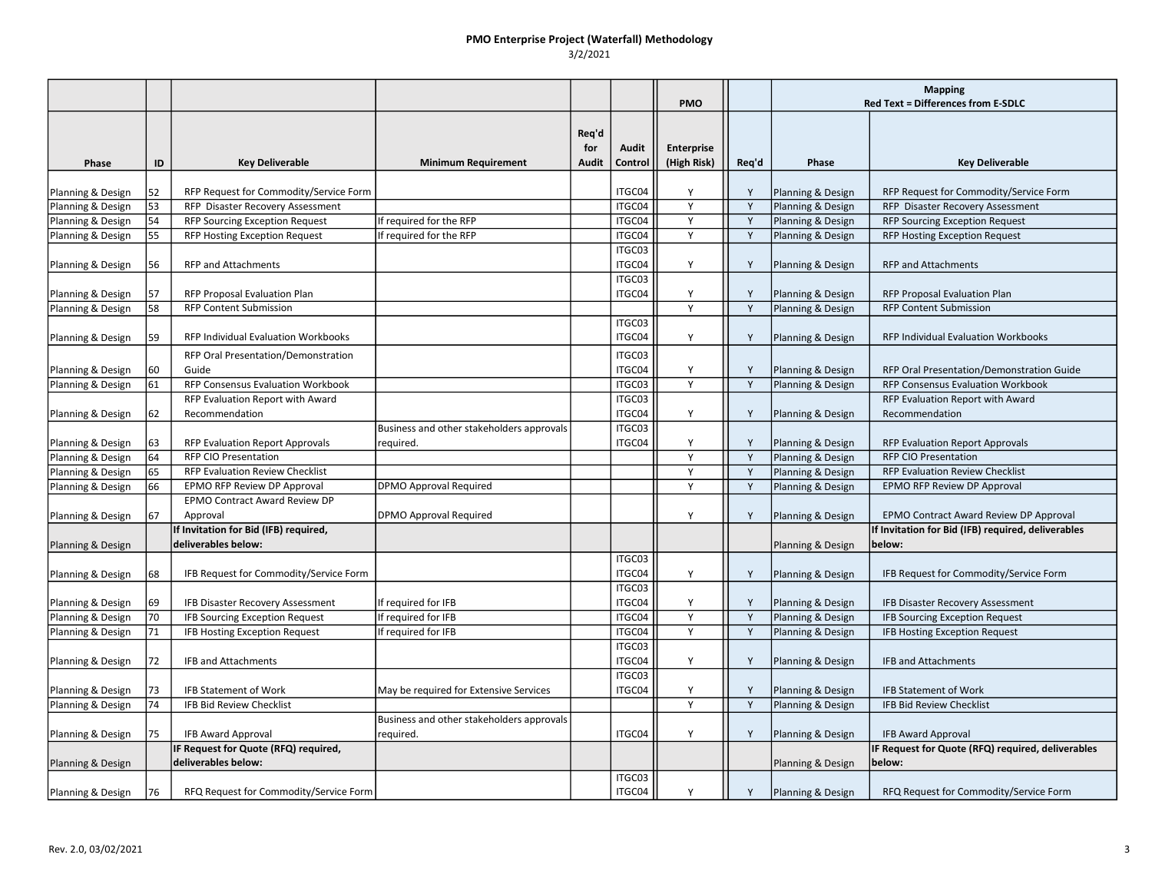### PMO Enterprise Project (Waterfall) Methodology 3/2/2021

|                   |    |                                        |                                           |                       |                  | <b>PMO</b>                       |                | <b>Mapping</b><br>Red Text = Differences from E-SDLC |                                                    |
|-------------------|----|----------------------------------------|-------------------------------------------|-----------------------|------------------|----------------------------------|----------------|------------------------------------------------------|----------------------------------------------------|
| Phase             | ID | <b>Key Deliverable</b>                 | <b>Minimum Requirement</b>                | Req'd<br>for<br>Audit | Audit<br>Control | <b>Enterprise</b><br>(High Risk) | Req'd          | Phase                                                | <b>Key Deliverable</b>                             |
| Planning & Design | 52 | RFP Request for Commodity/Service Form |                                           |                       | ITGC04           | Y                                | Y              | Planning & Design                                    | RFP Request for Commodity/Service Form             |
| Planning & Design | 53 | RFP Disaster Recovery Assessment       |                                           |                       | ITGC04           | Y                                | Y              | Planning & Design                                    | RFP Disaster Recovery Assessment                   |
| Planning & Design | 54 | <b>RFP Sourcing Exception Request</b>  | If required for the RFP                   |                       | ITGC04           | $\overline{Y}$                   | $\overline{Y}$ | Planning & Design                                    | <b>RFP Sourcing Exception Request</b>              |
| Planning & Design | 55 | <b>RFP Hosting Exception Request</b>   | If required for the RFP                   |                       | ITGC04           | Y                                | Y              | Planning & Design                                    | RFP Hosting Exception Request                      |
|                   |    |                                        |                                           |                       | ITGC03           |                                  |                |                                                      |                                                    |
| Planning & Design | 56 | <b>RFP and Attachments</b>             |                                           |                       | ITGC04           | Y                                | Y              | Planning & Design                                    | <b>RFP and Attachments</b>                         |
|                   |    |                                        |                                           |                       | ITGC03           |                                  |                |                                                      |                                                    |
| Planning & Design | 57 | RFP Proposal Evaluation Plan           |                                           |                       | ITGC04           | Y                                | Y              | Planning & Design                                    | RFP Proposal Evaluation Plan                       |
| Planning & Design | 58 | <b>RFP Content Submission</b>          |                                           |                       |                  | Y                                | Y              | Planning & Design                                    | <b>RFP Content Submission</b>                      |
|                   |    |                                        |                                           |                       | ITGC03           |                                  |                |                                                      |                                                    |
| Planning & Design | 59 | RFP Individual Evaluation Workbooks    |                                           |                       | ITGC04           | Y                                | Υ              | Planning & Design                                    | RFP Individual Evaluation Workbooks                |
|                   |    | RFP Oral Presentation/Demonstration    |                                           |                       | ITGC03           |                                  |                |                                                      |                                                    |
| Planning & Design | 60 | Guide                                  |                                           |                       | ITGC04           | Υ                                | Y              | Planning & Design                                    | RFP Oral Presentation/Demonstration Guide          |
| Planning & Design | 61 | RFP Consensus Evaluation Workbook      |                                           |                       | ITGC03           | Y                                | Y              | Planning & Design                                    | RFP Consensus Evaluation Workbook                  |
|                   |    | RFP Evaluation Report with Award       |                                           |                       | ITGC03           |                                  |                |                                                      | RFP Evaluation Report with Award                   |
| Planning & Design | 62 | Recommendation                         |                                           |                       | ITGC04           | Y                                | Y              | Planning & Design                                    | Recommendation                                     |
|                   |    |                                        | Business and other stakeholders approvals |                       | ITGC03           |                                  |                |                                                      |                                                    |
| Planning & Design | 63 | RFP Evaluation Report Approvals        | required.                                 |                       | ITGC04           | Y                                | Y              | Planning & Design                                    | <b>RFP Evaluation Report Approvals</b>             |
| Planning & Design | 64 | <b>RFP CIO Presentation</b>            |                                           |                       |                  | Y                                | Y              | Planning & Design                                    | <b>RFP CIO Presentation</b>                        |
| Planning & Design | 65 | RFP Evaluation Review Checklist        |                                           |                       |                  | Y                                | Y              | Planning & Design                                    | <b>RFP Evaluation Review Checklist</b>             |
| Planning & Design | 66 | EPMO RFP Review DP Approval            | <b>DPMO Approval Required</b>             |                       |                  | Y                                | Y              | Planning & Design                                    | EPMO RFP Review DP Approval                        |
|                   |    | <b>EPMO Contract Award Review DP</b>   |                                           |                       |                  |                                  |                |                                                      |                                                    |
| Planning & Design | 67 | Approval                               | DPMO Approval Required                    |                       |                  | Y                                | Y              | Planning & Design                                    | EPMO Contract Award Review DP Approval             |
|                   |    | If Invitation for Bid (IFB) required,  |                                           |                       |                  |                                  |                |                                                      | If Invitation for Bid (IFB) required, deliverables |
| Planning & Design |    | deliverables below:                    |                                           |                       |                  |                                  |                | Planning & Design                                    | below:                                             |
|                   |    |                                        |                                           |                       | ITGC03           |                                  |                |                                                      |                                                    |
| Planning & Design | 68 | IFB Request for Commodity/Service Form |                                           |                       | ITGC04           | Y                                | Y              | Planning & Design                                    | IFB Request for Commodity/Service Form             |
|                   |    |                                        |                                           |                       | ITGC03           |                                  |                |                                                      |                                                    |
| Planning & Design | 69 | IFB Disaster Recovery Assessment       | If required for IFB                       |                       | ITGC04           | Y                                | Y              | Planning & Design                                    | IFB Disaster Recovery Assessment                   |
| Planning & Design | 70 | IFB Sourcing Exception Request         | If required for IFB                       |                       | ITGC04           | Y                                | Y              | Planning & Design                                    | <b>IFB Sourcing Exception Request</b>              |
| Planning & Design | 71 | <b>IFB Hosting Exception Request</b>   | If required for IFB                       |                       | ITGC04           | Y                                | Y              | Planning & Design                                    | IFB Hosting Exception Request                      |
|                   |    |                                        |                                           |                       | ITGC03           |                                  |                |                                                      |                                                    |
| Planning & Design | 72 | IFB and Attachments                    |                                           |                       | ITGC04           | Y                                | Υ              | Planning & Design                                    | <b>IFB and Attachments</b>                         |
|                   |    |                                        |                                           |                       | ITGC03           |                                  |                |                                                      |                                                    |
| Planning & Design | 73 | <b>IFB Statement of Work</b>           | May be required for Extensive Services    |                       | ITGC04           | Y                                | Υ              | Planning & Design                                    | <b>IFB Statement of Work</b>                       |
| Planning & Design | 74 | <b>IFB Bid Review Checklist</b>        |                                           |                       |                  | Y                                | Y              | Planning & Design                                    | <b>IFB Bid Review Checklist</b>                    |
|                   |    |                                        | Business and other stakeholders approvals |                       |                  |                                  |                |                                                      |                                                    |
| Planning & Design | 75 | <b>IFB Award Approval</b>              | required.                                 |                       | ITGC04           | Y                                | Y              | Planning & Design                                    | <b>IFB Award Approval</b>                          |
|                   |    | IF Request for Quote (RFQ) required,   |                                           |                       |                  |                                  |                |                                                      | IF Request for Quote (RFQ) required, deliverables  |
| Planning & Design |    | deliverables below:                    |                                           |                       |                  |                                  |                | Planning & Design                                    | below:                                             |
|                   |    |                                        |                                           |                       | ITGC03           |                                  |                |                                                      |                                                    |
| Planning & Design | 76 | RFQ Request for Commodity/Service Form |                                           |                       | ITGC04           | Y                                | Y              | Planning & Design                                    | RFQ Request for Commodity/Service Form             |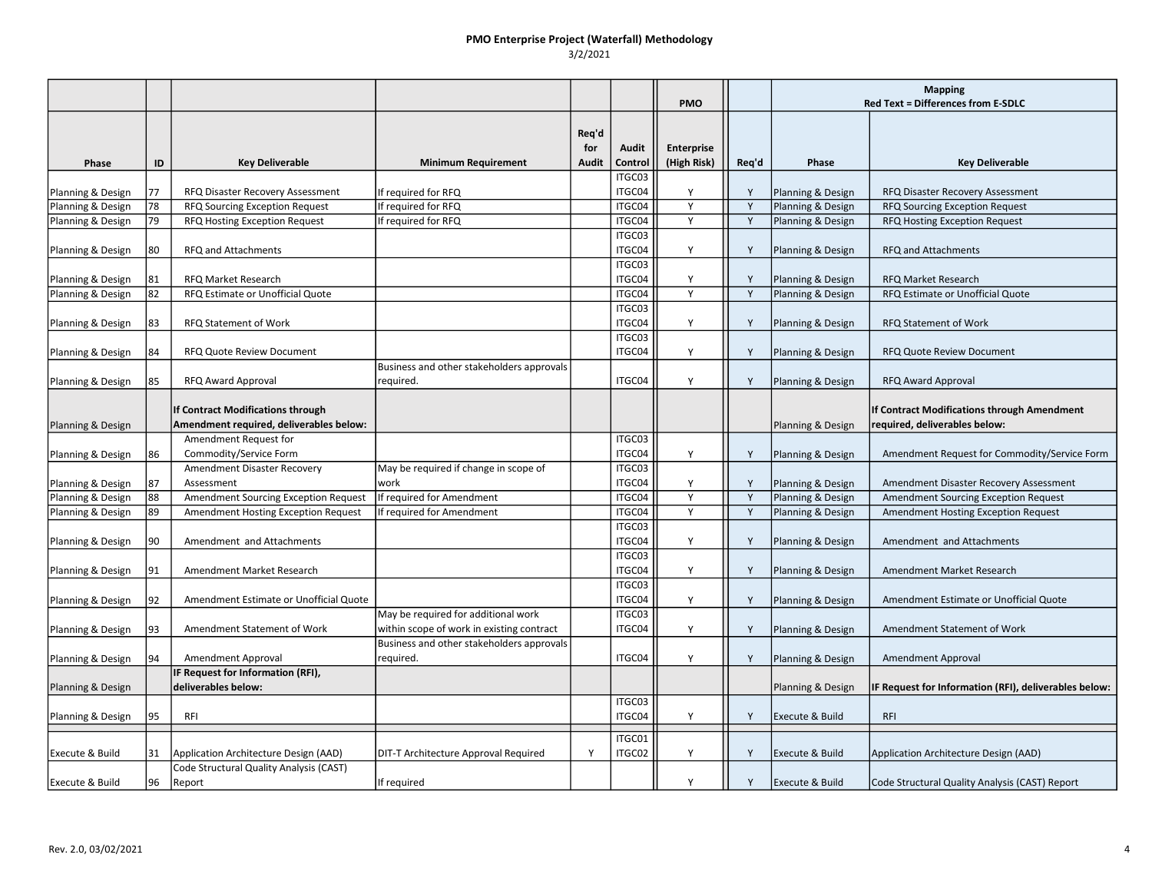### PMO Enterprise Project (Waterfall) Methodology 3/2/2021

|                            |    |                                                                              |                                           |                              |                  | <b>PMO</b>                |       | <b>Mapping</b><br><b>Red Text = Differences from E-SDLC</b> |                                                                              |
|----------------------------|----|------------------------------------------------------------------------------|-------------------------------------------|------------------------------|------------------|---------------------------|-------|-------------------------------------------------------------|------------------------------------------------------------------------------|
| Phase                      | ID | <b>Key Deliverable</b>                                                       | <b>Minimum Requirement</b>                | Req'd<br>for<br><b>Audit</b> | Audit<br>Control | Enterprise<br>(High Risk) | Req'd | Phase                                                       | <b>Key Deliverable</b>                                                       |
|                            |    |                                                                              |                                           |                              | ITGC03           |                           |       |                                                             |                                                                              |
| Planning & Design          | 77 | RFQ Disaster Recovery Assessment                                             | If required for RFQ                       |                              | ITGC04           | Υ                         |       | Planning & Design                                           | RFQ Disaster Recovery Assessment                                             |
| Planning & Design          | 78 | RFQ Sourcing Exception Request                                               | If required for RFQ                       |                              | ITGC04           | Y                         |       | Planning & Design                                           | RFQ Sourcing Exception Request                                               |
| Planning & Design          | 79 | RFQ Hosting Exception Request                                                | If required for RFQ                       |                              | ITGC04           | Y                         | Y     | Planning & Design                                           | RFQ Hosting Exception Request                                                |
| Planning & Design          | 80 | RFQ and Attachments                                                          |                                           |                              | ITGC03<br>ITGC04 | Y                         | Y     | Planning & Design                                           | RFQ and Attachments                                                          |
| Planning & Design          | 81 | <b>RFQ Market Research</b>                                                   |                                           |                              | ITGC03<br>ITGC04 | Y                         | Y     | Planning & Design                                           | <b>RFQ Market Research</b>                                                   |
| Planning & Design          | 82 | RFQ Estimate or Unofficial Quote                                             |                                           |                              | ITGC04           | Y                         | Y     | Planning & Design                                           | RFQ Estimate or Unofficial Quote                                             |
|                            |    |                                                                              |                                           |                              | ITGC03           |                           |       |                                                             |                                                                              |
| Planning & Design          | 83 | RFQ Statement of Work                                                        |                                           |                              | ITGC04           | Y                         | Y     | Planning & Design                                           | RFQ Statement of Work                                                        |
|                            |    |                                                                              |                                           |                              | ITGC03           |                           |       |                                                             |                                                                              |
| Planning & Design          | 84 | RFQ Quote Review Document                                                    |                                           |                              | ITGC04           | Y                         | Y     | Planning & Design                                           | RFQ Quote Review Document                                                    |
|                            |    |                                                                              | Business and other stakeholders approvals |                              |                  |                           |       |                                                             |                                                                              |
| Planning & Design          | 85 | RFQ Award Approval                                                           | required.                                 |                              | ITGC04           | Y                         | Y     | Planning & Design                                           | RFQ Award Approval                                                           |
| Planning & Design          |    | If Contract Modifications through<br>Amendment required, deliverables below: |                                           |                              |                  |                           |       | Planning & Design                                           | If Contract Modifications through Amendment<br>required, deliverables below: |
|                            |    | Amendment Request for                                                        |                                           |                              | ITGC03           |                           |       |                                                             |                                                                              |
| Planning & Design          | 86 | Commodity/Service Form                                                       |                                           |                              | ITGC04           | Υ                         | Y     | Planning & Design                                           | Amendment Request for Commodity/Service Form                                 |
|                            |    | Amendment Disaster Recovery                                                  | May be required if change in scope of     |                              | ITGC03           |                           |       |                                                             |                                                                              |
| Planning & Design          | 87 | Assessment                                                                   | work                                      |                              | ITGC04           | Y                         | Y     | Planning & Design                                           | Amendment Disaster Recovery Assessment                                       |
| Planning & Design          | 88 | Amendment Sourcing Exception Request                                         | If required for Amendment                 |                              | ITGC04           | Y                         | Y     | Planning & Design                                           | <b>Amendment Sourcing Exception Request</b>                                  |
| Planning & Design          | 89 | Amendment Hosting Exception Request                                          | If required for Amendment                 |                              | ITGC04           | Y                         | Y     | Planning & Design                                           | Amendment Hosting Exception Request                                          |
|                            |    |                                                                              |                                           |                              | ITGC03           |                           |       |                                                             |                                                                              |
| Planning & Design          | 90 | Amendment and Attachments                                                    |                                           |                              | ITGC04           | Y                         | Y     | Planning & Design                                           | Amendment and Attachments                                                    |
|                            |    |                                                                              |                                           |                              | ITGC03           |                           |       |                                                             |                                                                              |
| Planning & Design          | 91 | Amendment Market Research                                                    |                                           |                              | ITGC04           | Y                         | Y     | Planning & Design                                           | Amendment Market Research                                                    |
|                            |    |                                                                              |                                           |                              | ITGC03           |                           |       |                                                             |                                                                              |
| Planning & Design          | 92 | Amendment Estimate or Unofficial Quote                                       |                                           |                              | ITGC04           | Y                         | Y     | Planning & Design                                           | Amendment Estimate or Unofficial Quote                                       |
|                            |    |                                                                              | May be required for additional work       |                              | ITGC03           |                           |       |                                                             |                                                                              |
| Planning & Design          | 93 | Amendment Statement of Work                                                  | within scope of work in existing contract |                              | ITGC04           | Υ                         | Y     | Planning & Design                                           | Amendment Statement of Work                                                  |
|                            |    |                                                                              | Business and other stakeholders approvals |                              |                  |                           |       |                                                             |                                                                              |
| Planning & Design          | 94 | Amendment Approval                                                           | required.                                 |                              | ITGC04           | Y                         | Y     | Planning & Design                                           | <b>Amendment Approval</b>                                                    |
|                            |    | IF Request for Information (RFI),                                            |                                           |                              |                  |                           |       |                                                             |                                                                              |
| Planning & Design          |    | deliverables below:                                                          |                                           |                              |                  |                           |       | Planning & Design                                           | IF Request for Information (RFI), deliverables below:                        |
|                            |    |                                                                              |                                           |                              | ITGC03           |                           |       |                                                             |                                                                              |
| Planning & Design          | 95 | RFI                                                                          |                                           |                              | ITGC04           | Y                         | Y     | Execute & Build                                             | <b>RFI</b>                                                                   |
|                            |    |                                                                              |                                           |                              | ITGC01           |                           |       |                                                             |                                                                              |
| Execute & Build            | 31 | Application Architecture Design (AAD)                                        | DIT-T Architecture Approval Required      | Y                            | ITGC02           | Y                         | Y     | Execute & Build                                             | Application Architecture Design (AAD)                                        |
|                            |    | Code Structural Quality Analysis (CAST)                                      |                                           |                              |                  |                           |       |                                                             |                                                                              |
| <b>Execute &amp; Build</b> | 96 | Report                                                                       | If required                               |                              |                  | Y                         | Y     | Execute & Build                                             | Code Structural Quality Analysis (CAST) Report                               |